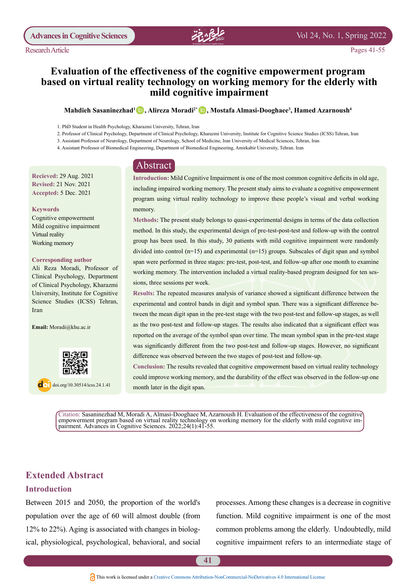## Vol 24, No. 1, Spring 2022

# **Evaluation of the effectiveness of the cognitive empowerment program based on virtual reality technology on working memory for the elderly with** mild cognitive impairment

#### $\bm{\mathrm{M}}$ ahdieh Sasaninezhad<sup>1</sup> (D, Alireza Moradi $^{\text{2*}}$  (D, Mostafa Almasi-Dooghaee<sup>3</sup>, Hamed Azarnoush $^{\text{4}}$

- 1. PhD Student in Health Psychology, Kharazmi University, Tehran, Iran
- 2. Professor of Clinical Psychology, Department of Clinical Psychology, Kharazmi University, Institute for Cognitive Science Studies (ICSS) Tehran, Iran
- 3. Assistant Professor of Neurology, Department of Neurology, School of Medicine, Iran University of Medical Sciences, Tehran, Iran
- 4. Assistant Professor of Biomedical Engineering, Department of Biomedical Engineering, Amirkabir University, Tehran. Iran

# Abstract

**Recieved: 29 Aug. 2021 Revised: 21 Nov. 2021 Accepted: 5 Dec. 2021** 

#### **Keywords**

Cognitive empowerment Mild cognitive impairment Virtual reality Working memory

#### **Corresponding author**

Ali Reza Moradi, Professor of Clinical Psychology, Department of Clinical Psychology, Kharazmi University, Institute for Cognitive Science Studies (ICSS) Tehran, Iran

Email: Moradi@khu.ac.ir



 $\log$  doi.org/10.30514/icss.24.1.41

Introduction: Mild Cognitive Impairment is one of the most common cognitive deficits in old age, including impaired working memory. The present study aims to evaluate a cognitive empowerment program using virtual reality technology to improve these people's visual and verbal working memory.

Methods: The present study belongs to quasi-experimental designs in terms of the data collection method. In this study, the experimental design of pre-test-post-test and follow-up with the control group has been used. In this study, 30 patients with mild cognitive impairment were randomly divided into control ( $n=15$ ) and experimental ( $n=15$ ) groups. Subscales of digit span and symbol span were performed in three stages: pre-test, post-test, and follow-up after one month to examine working memory. The intervention included a virtual reality-based program designed for ten sessions, three sessions per week.

Results: The repeated measures analysis of variance showed a significant difference between the tween the mean digit span in the pre-test stage with the two post-test and follow-up stages, as well experimental and control bands in digit and symbol span. There was a significant difference beas the two post-test and follow-up stages. The results also indicated that a significant effect was reported on the average of the symbol span over time. The mean symbol span in the pre-test stage was significantly different from the two post-test and follow-up stages. However, no significant difference was observed between the two stages of post-test and follow-up.

Conclusion: The results revealed that cognitive empowerment based on virtual reality technology could improve working memory, and the durability of the effect was observed in the follow-up one month later in the digit span.

Citation: Sasaninezhad M, Moradi A, Almasi-Dooghaee M, Azarnoush H. Evaluation of the effectiveness of the cognitive empowerment program based on virtual reality technology on working memory for the elderly with mild cognitive impairment. Advances in Cognitive Sciences. 2022;24(1):41-55.

# **Extended Abstract**

### **Introduction**

Between 2015 and 2050, the proportion of the world's population over the age of  $60$  will almost double (from ical, physiological, psychological, behavioral, and social  $12\%$  to 22%). Aging is associated with changes in biologprocesses. Among these changes is a decrease in cognitive function. Mild cognitive impairment is one of the most common problems among the elderly. Undoubtedly, mild cognitive impairment refers to an intermediate stage of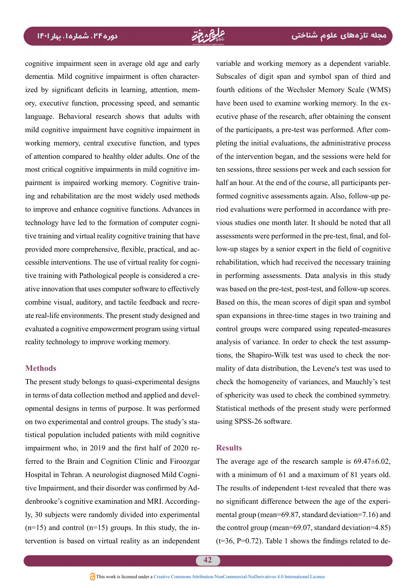cognitive impairment seen in average old age and early ory, executive function, processing speed, and semantic ized by significant deficits in learning, attention, memdementia. Mild cognitive impairment is often characterlanguage. Behavioral research shows that adults with mild cognitive impairment have cognitive impairment in working memory, central executive function, and types of attention compared to healthy older adults. One of the ing and rehabilitation are the most widely used methods pairment is impaired working memory. Cognitive trainmost critical cognitive impairments in mild cognitive imto improve and enhance cognitive functions. Advances in tive training and virtual reality cognitive training that have technology have led to the formation of computer cogniative innovation that uses computer software to effectively tive training with Pathological people is considered a crecessible interventions. The use of virtual reality for cogniprovided more comprehensive, flexible, practical, and acate real-life environments. The present study designed and combine visual, auditory, and tactile feedback and recreevaluated a cognitive empowerment program using virtual reality technology to improve working memory.

### **Methods**

The present study belongs to quasi-experimental designs opmental designs in terms of purpose. It was performed in terms of data collection method and applied and develtistical population included patients with mild cognitive on two experimental and control groups. The study's staferred to the Brain and Cognition Clinic and Firoozgar impairment who, in 2019 and the first half of 2020 rely, 30 subjects were randomly divided into experimental tive Impairment, and their disorder was confirmed by Addenbrooke's cognitive examination and MRI. According-Hospital in Tehran. A neurologist diagnosed Mild Cogni-<br>tive Impairment, and their disorder was confirmed by Ad- $(n=15)$  and control  $(n=15)$  groups. In this study, the intervention is based on virtual reality as an independent tervention is based on virtual reality as an independent ( $t=36$ ,  $P=0.72$ ). Table 1 shows the f<br> **A**This work is licensed under a Creative Commons Attribution-NonCommercial-NoDerivatives 4.0 International License

variable and working memory as a dependent variable. Subscales of digit span and symbol span of third and fourth editions of the Wechsler Memory Scale (WMS) ecutive phase of the research, after obtaining the consent have been used to examine working memory. In the expleting the initial evaluations, the administrative process of the participants, a pre-test was performed. After comof the intervention began, and the sessions were held for ten sessions, three sessions per week and each session for vious studies one month later. It should be noted that all riod evaluations were performed in accordance with preformed cognitive assessments again. Also, follow-up pehalf an hour. At the end of the course, all participants perlow-up stages by a senior expert in the field of cognitive assessments were performed in the pre-test, final, and folrehabilitation, which had received the necessary training in performing assessments. Data analysis in this study was based on the pre-test, post-test, and follow-up scores. Based on this, the mean scores of digit span and symbol span expansions in three-time stages in two training and control groups were compared using repeated-measures mality of data distribution, the Levene's test was used to tions, the Shapiro-Wilk test was used to check the noranalysis of variance. In order to check the test assumpcheck the homogeneity of variances, and Mauchly's test of sphericity was used to check the combined symmetry. Statistical methods of the present study were performed using SPSS-26 software.

### **Results**

The average age of the research sample is  $69.47\pm6.02$ , with a minimum of 61 and a maximum of 81 years old. The results of independent t-test revealed that there was mental group (mean= $69.87$ , standard deviation= $7.16$ ) and no significant difference between the age of the experithe control group (mean= $69.07$ , standard deviation= $4.85$ )  $(t=36, P=0.72)$ . Table 1 shows the findings related to de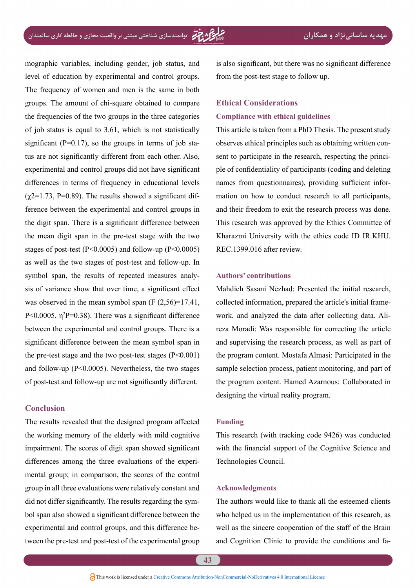mographic variables, including gender, job status, and level of education by experimental and control groups. The frequency of women and men is the same in both groups. The amount of chi-square obtained to compare the frequencies of the two groups in the three categories of job status is equal to  $3.61$ , which is not statistically tus are not significantly different from each other. Also, significant ( $P=0.17$ ), so the groups in terms of job staexperimental and control groups did not have significant differences in terms of frequency in educational levels ference between the experimental and control groups in  $(\gamma 2=1.73, P=0.89)$ . The results showed a significant difthe digit span. There is a significant difference between the mean digit span in the pre-test stage with the two stages of post-test ( $P \le 0.0005$ ) and follow-up ( $P \le 0.0005$ ) as well as the two stages of post-test and follow-up. In sis of variance show that over time, a significant effect symbol span, the results of repeated measures analywas observed in the mean symbol span  $(F (2,56)=17.41)$ , P<0.0005,  $η<sup>2</sup>P=0.38$ ). There was a significant difference between the experimental and control groups. There is a significant difference between the mean symbol span in the pre-test stage and the two post-test stages  $(P<0.001)$ and follow-up ( $P<0.0005$ ). Nevertheless, the two stages of post-test and follow-up are not significantly different.

# **Conclusion**

The results revealed that the designed program affected the working memory of the elderly with mild cognitive impairment. The scores of digit span showed significant mental group; in comparison, the scores of the control differences among the three evaluations of the experigroup in all three evaluations were relatively constant and bol span also showed a significant difference between the did not differ significantly. The results regarding the symtween the pre-test and post-test of the experimental group experimental and control groups, and this difference beis also significant, but there was no significant difference from the post-test stage to follow up.

# **Ethical Considerations Compliance with ethical guidelines**

This article is taken from a PhD Thesis. The present study ple of confidentiality of participants (coding and deleting sent to participate in the research, respecting the princiobserves ethical principles such as obtaining written connames from questionnaires), providing sufficient infor-<br>mation on how to conduct research to all participants, and their freedom to exit the research process was done. This research was approved by the Ethics Committee of Kharazmi University with the ethics code ID IR.KHU.  $REC.1399.016$  after review.

## **contributions' Authors**

Mahdieh Sasani Nezhad: Presented the initial research, reza Moradi: Was responsible for correcting the article work, and analyzed the data after collecting data. Alicollected information, prepared the article's initial frameand supervising the research process, as well as part of the program content. Mostafa Almasi: Participated in the sample selection process, patient monitoring, and part of the program content. Hamed Azarnous: Collaborated in designing the virtual reality program.

### **Funding**

This research (with tracking code 9426) was conducted with the financial support of the Cognitive Science and Technologies Council.

### **Acknowledgments**

The authors would like to thank all the esteemed clients who helped us in the implementation of this research, as well as the sincere cooperation of the staff of the Brain and Cognition Clinic to provide the conditions and fa-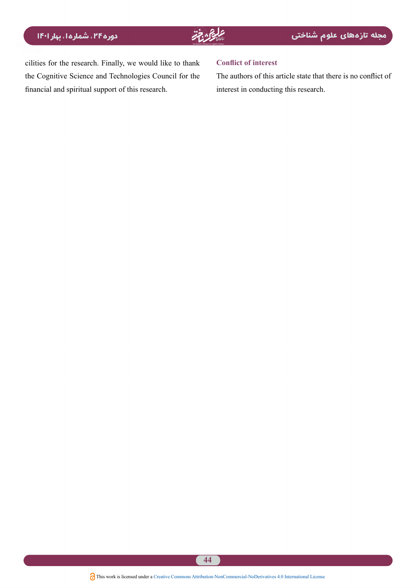cilities for the research. Finally, we would like to thank the Cognitive Science and Technologies Council for the financial and spiritual support of this research.

### **Conflict of interest**

The authors of this article state that there is no conflict of interest in conducting this research.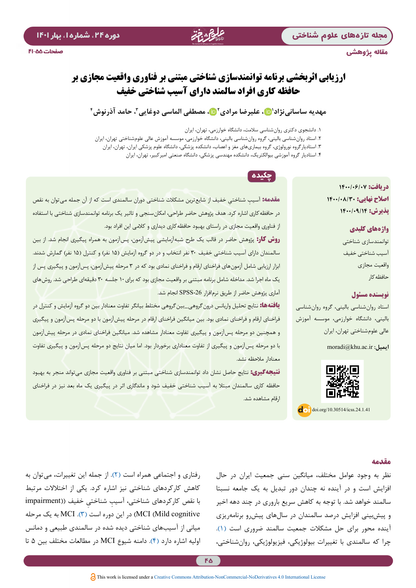مقاله پژوهشی

صفحات 41-55

# **ارزیابی اثربخشی برنامه توانمندسازی شناختی مبتنی بر فناوری واقعیت مجازی بر حافظه کاری افراد سالمند دارای آسیب شناختی خفیف**

# مهدیه ساسانی نژاد'⊡، علیرضا مرادی'⊡، مصطفی الماسی دوغایی<sup>۳</sup>، حامد آذرنوش ٔ

.1 دانشجوی دکتری روانشناسی سالمت، دانشگاه خوارزمی، تهران، ایران

- .2 استاد روانشناسی بالینی، گروه روانشناسی بالینی، دانشگاه خوارزمی، موسسه آموزش عالی علومشناختی تهران، ایران
	- .3 استادیارگروه نورولوژی، گروه بیماریهای مغز و اعصاب، دانشکده پزشکی، دانشگاه علوم پزشکی ایران، تهران، ایران
		- .4 استادیار گروه آموزشی بیوالکتریک، دانشکده مهندسی پزشکی، دانشگاه صنعتی امیرکبیر، تهران، ایران

# **دریافت: 1400/06/07 اصالح نهایی: 1400/08/30 پذیرش: 1400/09/14**

## **واژههای کلیدی**

توانمندسازی شناختی آسیب شناختی خفیف واقعیت مجازی حافظهکار

# **نویسنده مسئول**

استاد روانشناسی بالینی، گروه روانشناسی بالینی، دانشگاه خوارزمی، موسسه آموزش عالی علومشناختی تهران، ایران

**ایمیل:** ir.ac.khu@moradi



 $\log$  doi.org/10.30514/icss.24.1.41

# چکیده

**مقدمه:** ِ آسیب ِ شناختی خفیف از شایعترین مشکالت شناختی دوران سالمندی است که از آن جمله می توان به نقص در حافظهکاری اشاره کرد. هدف پژوهش حاضر طراحی، امکانسنجی و تاثیر یک برنامه توانمندسازی شناختی با استفاده از فناوری واقعیت مجازی در راستای بهبود حافظه<sup>'</sup>کاری دیداری و کلامی این افراد بود.

**روش کار:** پژوهش حاضر در قالب یک طرح شبهآزمایشی پیشآزمون، پسآزمون به همراه پیگیری انجام شد. از بین سالمندان دارای آسیب شناختی خفیف ۳۰ نفر انتخاب و در دو گروه آزمایش (۱۵ نفر) و کنترل (۱۵ نفر) گمارش شدند. ابزار ارزیابی شامل آزمونهای فراخنای ارقام و فراخنای نمادی بود که در 3 مرحله پیشآزمون، پسآزمون و پیگیری پس از یک ماه اجرا شد. مداخله شامل برنامه مبتنی بر واقعیت مجازی بود که برای10 جلسه 30 دقیقهای طراحی شد. روشهای آماری پژوهش حاضر از طریق نرمافزار -26SPSS انجام شد.

**یافتهها:** نتایج تحلیل واریانس درونگروهی\_بینگروهی مختلط بیانگر تفاوت معنادار بین دو گروه آزمایش و کنترل در فراخنای ارقام و فراخنای نمادی بود. بین میانگین فراخنای ارقام در مرحله پیشآزمون با دو مرحله پسآزمون و پیگیری و همچنین دو مرحله پسآزمون و پیگیری تفاوت معنادار مشاهده شد. میانگین فراخنای نمادی در مرحله پیشآزمون با دو مرحله پسآزمون و پیگیری از تفاوت معناداری برخوردار بود. اما میان نتایج دو مرحله پسآزمون و پیگیری تفاوت معنادار مالحظه نشد.

**نتیجهگیری:** نتایج حاصل نشان داد توانمندسازی شناختی مبتنی بر فناوری واقعیت مجازی میتواند منجر به بهبود حافظه کاری سالمندان مبتال به آسیب شناختی خفیف شود و ماندگاری اثر در پیگیری یک ماه بعد نیز در فراخنای ارقام مشاهده شد.

## **مقدمه**

نظر به وجود عوامل مختلف، میانگین سنی جمعیت ایران در حال افزایش است و در آینده نه چندان دور تبدیل به یک جامعه نسبتا سالمند خواهد شد. با توجه به کاهش سریع باروری در چند دهه اخیر و پیشبینی افزایش درصد سالمندان در سالهای پیشرو برنامهریزی آینده محور برای حل مشکالت جمعیت سالمند ضروری است )[1](#page-12-0)(. چرا که سالمندی با تغییرات بیولوژیکی، فیزیولوژیکی، روانشناختی،

رفتاری و اجتماعی همراه است )[2\(](#page-12-1). از جمله این تغییرات، میتوان به کاهش کارکردهای شناختی نیز اشاره کرد. یکی از اختالالت مرتبط ِ با نقص کارکردهای شناختی، آسیب ِ شناختی خفیف ))impairment cognitive Mild (MCI (در این دوره است )[3\(](#page-12-2). MCI به یک مرحله میانی از آسیبهای شناختی دیده شده در سالمندی طبیعی و دمانس اولیه اشاره دارد [\)4\(](#page-12-3). دامنه شیوع MCI در مطالعات مختلف بین 5 تا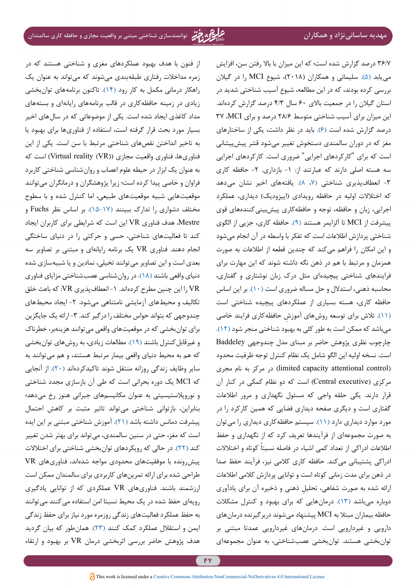36/7 درصد گزارش شده است؛ که این میزان با باال رفتن سن، افزایش مییابد )[5\(](#page-12-4). سلیمانی و همکاران )2018(، شیوع MCI را در گیالن بررسی کرده بودند، که در این مطالعه، شیوع آسیب شناختی شدید در استان گیالن را در جمعیت باالی 60 سال 4/3 درصد گزارش کردهاند. این میزان برای آسیب شناختی متوسط 28/6 درصد و برای MCI، 37 درصد گزارش شده است [\)6](#page-12-5)(. باید در نظر داشت، یکی از ساختارهای مغز که در دوران سالمندی دستخوش تغییر میشود قشر پیشپیشانی است که برای "کارکردهای اجرایی" ضروری است. کارکردهای اجرایی سه هسته اصلی دارند که عبارتند از: ۱- بازداری. ۲- حافظه کاری -3 انعطافپذیری شناختی [\)](#page-12-7)،[7](#page-12-7) [8\(](#page-12-6). یافتههای اخیر نشان میدهد که اختلالات اولیه در حافظه رویدادی (اپیزودیک) دیداری، عملکرد اجرایی، زبان و حافظه، توجه و حافظهکاری پیشبینیکنندههای قوی پیشرفت از MCI تا آلزایمر هستند [\)9](#page-12-8)(. حافظه کاری، جزیی از الگوی شناختی پردازش اطالعات است که تفکر با واسطه در آن انجام میشود و این امکان را فراهم میکند که چندین قطعه از اطالعات به صورت همزمان و مرتبط با هم در ذهن نگه داشته شوند که این مهارت برای فرایندهای شناختی پیچیدهای مثل درک زبان نوشتاری و گفتاری، محاسبه ذهنی، استدالل و حل مساله ضروری است )[10](#page-12-9)(. بر این اساس حافظه کاری، هسته بسیاری از عملکردهای پیچیده شناختی است [\)11](#page-12-10)(. تالش برای توسعه روش ِ های آموزش حافظهکاری فرایند خاصی میباشد که ممکن است به طور کلی به بهبود شناختی منجر شود )12(. چارچوب نظری پژوهش حاضر بر مبنای مدل چندوجهی Baddeley است. نسخه اولیه این الگو شامل یک نظام کنترل توجه ظرفیت محدود )control attentional capacity limited )در مرکز به نام مجری مرکزی (Central executive) است که دو نظام کمکی در کنار آن قرار دارند. یکی حلقه واجی که مسئول نگهداری و مرور اطالعات گفتاری است و دیگری صفحه دیداری فضایی که همین کارکرد را در مورد موارد دیداری دارد )[11](#page-12-10)(. سیستم حافظهکاری دیداری را میتوان به صورت مجموعهای از فرآیندها تعریف کرد که از نگهداری و حفظ اطلاعات ادراکی از تعداد کمی اشیاء در فاصله نسبتاً کوتاه و اختلالات ادراکی پشتیبانی میکند. حافظه کاری کالمی نیز، فرآیند حفظ صدا در ذهن برای مدت زمانی کوتاه است و توانایی پردازش کالمی اطالعات ِ ارائه شده به صورت شفاهی، تحلیل ذهنی و ذخیره آن برای یادآوری دوباره میباشد )[13](#page-12-11)(. درمانهایی که برای بهبود و کنترل مشکالت حافظه بیماران مبتال به MCI پیشنهاد میشوند دربرگیرنده درمانهای دارویی و غیردارویی است. درمانهای غیردارویی عمدتا مبتنی بر توانبخشی هستند. توانبخشی عصبشناختی، به عنوان مجموعهاي

از فنون با هدف بهبود عملکردهای مغزی و شناختی هستند که در زمره مداخالت رفتاری طبقهبندی میشوند که میتواند به عنوان یک راهکار درمانی مکمل به کار رود )[14\(](#page-12-12). تاکنون برنامههای توانبخشی زیادی در زمینه حافظهکاری در قالب برنامههای رایانهای و بستههای مداد کاغذی ایجاد شده است. یکی از موضوعاتی که در سالهای اخیر بسیار مورد بحث قرار گرفته است، استفاده از فناوریها برای بهبود یا به تاخیر انداختن نقصهای شناختی مرتبط با سن است. یکی از این فناوریها، فناوری واقعیت مجازی (Virtual reality (VR)) است که به عنوان یک ابزار در حیطه علوم اعصاب و روانشناسی شناختی کاربرد فراوان و خاصی پیدا کرده است؛ زیرا پژوهشگران و درمانگران میتوانند موقعیتهایی شبیه موقعیتهای طبیعی، اما کنترل شده و با سطوح مختلف دشواری را تدارک ببینند [\)](#page-13-2)[15](#page-13-0)[-](#page-13-1)[17](#page-13-2)(. بر اساس نظر Fuchs و Mestre، هدف فناوری VR این است که شرایطی برای کاربران ایجاد کند تا فعالیتهای شناختی، حسی و حرکتی را در دنیای ساختگی انجام دهند. فناوری VR یک برنامه رایانهای و مبتنی بر تصاویر سه بعدی است و این تصاویر میتوانند تخیلی، نمادین و یا شبیهسازی شده دنیای واقعی باشند [\)18](#page-13-3)(. در روانشناسی عصبشناختی مزایای فناوری VR را این چنین مطرح کردهاند. -1 انعطافپذیری VR: که باعث خلق تکالیف و محیطهای آزمایشی نامتناهی می شود. ۲- ایجاد محیطهای چندوجهی که بتواند حواس مختلف را درگیر کند. ۳- ارائه یک جایگزین برای توانبخشی که در موقعیتهای واقعی میتوانند هزینهبر، خطرناک و غیرقابلکنترل باشند [\)19\(](#page-13-4). مطالعات زیادی، به روشهای توانبخشی که هم به محیط دنیای واقعی بیمار مرتبط هستند، و هم میتوانند به سایر وظایف زندگی روزانه منتقل شوند تاکیدکردهاند [\)20](#page-13-5)(. از آنجایی که MCI یک دوره بحرانی است که طی آن بازسازی مجدد شناختی و نوروپالستیسیتی به عنوان مکانیسمهای جبرانی هنوز رخ میدهد؛ بنابراین، بازتوانی شناختی میتواند تاثير مثبت بر کاهش احتمال پيشرفت دمانس داشته باشد )[21](#page-13-6)(. آموزش شناختی مبتنی بر این ایده است که مغز، حتی در سنین سالمندی، میتواند برای بهتر شدن تغییر کند [\)22](#page-13-7)(. در حالی که رویکردهای توانبخشی شناختی برای اختالالت پیشرونده با موفقیتهای محدودی مواجه شدهاند، فناوریهای VR طراحی شده برای ارائه تمرینهای کاربردی برای سالمندان ممکن است ارزشمند باشند. فناوریهای VR عملکردی که از توانایی یادگیری رویهای حفظ شده در یک محیط نسبتا امن استفاده میکنند میتوانند به حفظ عملکرد فعالیتهای زندگی روزمره مورد نیاز برای حفظ زندگی ایمن و استقالل عملکرد کمک کنند )[23](#page-13-8)(. همانطور که بیان گردید هدف پژوهش حاضر بررسی اثربخشی درمان VR بر بهبود و ارتقاء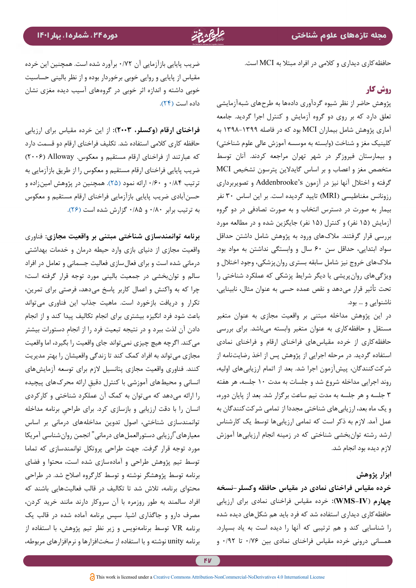حافظهکاری دیداری و کالمی در افراد مبتال به MCI است.

# **روش کار**

پژوهش حاضر از نظر شیوه گردآوری دادهها به طرحهای شبهآزمایشی تعلق دارد که بر روی دو گروه آزمایش و کنترل اجرا گردید. جامعه آماری پژوهش شامل بیماران MCI بود که در فاصله 1398-1399 به کلینیک مغز و شناخت (وابسته به موسسه آموزش عالی علوم شناختی) و بیمارستان فیروزگر در شهر تهران مراجعه کردند. آنان توسط متخصص مغز و اعصاب و بر اساس گایدالین پترسون تشخیص MCI گرفته و اختالل آنها نیز در آزمون s'Addenbrooke و تصویربرداری رزونانس مغناطیسی )MRI )تایید گردیده است. بر این اساس 30 نفر بیمار به صورت در دسترس انتخاب و به صورت تصادفی در دو گروه آزمایش (۱۵ نفر) و کنترل (۱۵ نفر) جایگزین شده و در مطالعه مورد بررسی قرار گرفتند. مالکهای ورود به پژوهش شامل داشتن حداقل سواد ابتدایی، حداقل سن 60 سال و وابستگی نداشتن به مواد بود. مالکهای خروج نیز شامل سابقه بستری روانپزشکی، وجود اختالل و ویژگیهای روانپریشی یا دیگر شرایط پزشکی که عملکرد شناختی را تحت تأثیر قرار میدهد و نقص عمده حسی به عنوان مثال، نابینایی، ناشنوایی و ... بود.

در این پژوهش مداخله مبتنی بر واقعیت مجازی به عنوان متغیر مستقل و حافظهکاری به عنوان متغیر وابسته میباشد. برای بررسی حافظهکاری از خرده مقیاسهای فراخنای ارقام و فراخنای نمادی استفاده گردید. در مرحله اجرایی از پژوهش پس از اخذ رضایتنامه از شرکتکنندگان، پیشآزمون اجرا شد. بعد از اتمام ارزیابیهای اولیه، روند اجرایی مداخله شروع شد و جلسات به مدت 10 جلسه، هر هفته 3 جلسه و هر جلسه به مدت نیم ساعت برگزار شد. بعد از پایان دوره، و یک ماه بعد، ارزیابیهای شناختی مجددا از تمامی شرکتکنندگان به عمل آمد. الزم به ذکر است که تمامی ارزیابیها توسط یک کارشناس ارشد رشته توانبخشی شناختی که در زمینه انجام ارزیابیها آموزش الزم دیده بود انجام شد.

## **ابزار پژوهش**

**خرده مقیاس فراخنای نمادی در مقیاس حافظه وكسلر-نسخه چهارم )IV-WMS):** خرده مقیاس فراخنای نمادی برای ارزیابی حافظهکاری دیداری استفاده شد که فرد باید هم شکلهای دیده شده را شناسایی کند و هم ترتیبی که آنها را دیده است به یاد بسپارد. همسانی درونی خرده مقیاس فراخنای نمادی بین 0/76 تا 0/92 و

ضریب پایایی بازآزمایی آن 0/72 برآورد شده است. همچنین این خرده مقیاس از پایایی و روایی خوبی برخوردار بوده و از نظر بالینی حساسیت خوبی داشته و اندازه اثر خوبی در گروههای آسیب دیده مغزی نشان داده است (٢۴).

**فراخنای ارقام )وکسلر، 2003(:** از این خرده مقیاس برای ارزیابی حافظه کاری کالمی استفاده شد. تکلیف فراخنای ارقام دو قسمت دارد که عبارتند از فراخنای ارقام مستقیم و معکوس. Alloway( 2006 ) ضریب پایایی فراخنای ارقام مستقیم و معکوس را از طریق بازآزمایی به ترتیب 0/84 و 0/60 ارائه نمود )[25](#page-13-10)(. همچنین در پژوهش امینزاده و حسنآبادی ضریب پایایی بازآزمایی فراخنای ارقام مستقیم و معکوس به ترتیب برابر 0/80 و 0/85 گزارش شده است )[26\(](#page-13-11).

**برنامه توانمندسازي شناختي مبتنی بر واقعیت مجازی:** فناوری واقعیت مجازی از دنیای بازی وارد حیطه درمان و خدمات بهداشتی درمانی شده است و برای فعالسازی فعالیت جسمانی و تعامل در افراد سالم و توانبخشی در جمعیت بالینی مورد توجه قرار گرفته است؛ چرا که به واکنش و اعمال کاربر پاسخ میدهد، فرصتی برای تمرین، تکرار و دریافت بازخورد است. ماهیت جذاب این فناوری میتواند باعث شود فرد انگیزه بیشتری برای انجام تکالیف پیدا کند و از انجام ِ دادن آن لذت ببرد و در نتیجه تبعیت فرد را از انجام دستورات بیشتر می كند. اگرچه هیچ چیزی نمی تواند جای واقعیت را بگیرد، اما واقعیت مجازی میتواند به افراد کمک کند تا زندگی واقعیشان را بهتر مدیریت کنند. فناوری واقعیت مجازی پتانسیل الزم برای توسعه آزمایشهای انسانی و محیطهای آموزشی با کنترل دقیق ارائه محرکهای پیچیده را ارائه میدهد که میتوان به کمک آن عملکرد شناختی و کارکردی ِ انسان را با دقت ارزیابی و بازسازی کرد. برای طراحی برنامه مداخله توانمندسازی شناختی، اصول تدوین مداخلههای درمانی بر اساس معیارهای"ارزیابی دستورالعملهای درمانی" انجمن روانشناسی آمریکا مورد توجه قرار گرفت. جهت طراحی پروتکل توانمندسازی که تماما توسط تیم پژوهش طراحی و آمادهسازی شده است، محتوا و فضای برنامه توسط پژوهشگر نوشته و توسط کارگروه اصالح شد. در طراحی محتوای برنامه، تالش شد تا تکالیف در قالب فعالیتهایی باشند که افراد سالمند به طور روزمره با آن سروکار دارند مانند خرید کردن، مصرف دارو و جاگذاری اشیا. سپس برنامه آماده شده در قالب یک برنامه VR توسط برنامهنویس و زیر نظر تیم پژوهش، با استفاده از برنامه unity نوشته و با استفاده از سختافزارها و نرمافزارهای مربوطه،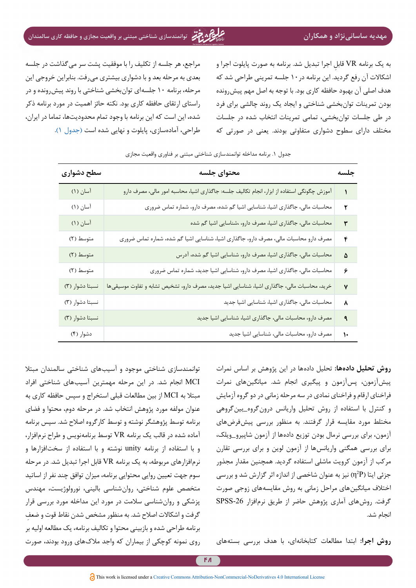# **مهدیه ساسانینژاد و همکاران توانمندسازی شناختی مبتنی بر واقعیت مجازی و حافظه کاری سالمندان**

<span id="page-7-0"></span>به یک برنامه VR ِ قابل اجرا تبدیل شد. برنامه به صورت پایلوت اجرا و اشکاالت آن رفع گردید. این برنامه در10 جلسه تمرینی طراحی شد که هدف اصلی آن بهبود حافظه کاری بود. با توجه به اصل مهم پیشرونده بودن تمرینات توانبخشی شناختی و ایجاد یک روند چالشی برای فرد در طی جلسات توانبخشی، تمامی تمرینات انتخاب شده در جلسات مختلف دارای سطوح دشواری متفاوتی بودند. یعنی در صورتی که

مراجع، هر جلسه از تکلیف را با موفقیت پشت سر میگذاشت در جلسه بعدی به مرحله بعد و با دشواری بیشتری میرفت. بنابراین خروجی این مرحله، برنامه 10 جلسهای توانبخشی شناختی با روند پیشرونده و در راستای ارتقای حافظه کاری بود. نکته حائز اهمیت در مورد برنامه ذکر شده، این است که این برنامه با وجود تمام محدودیتها، تماما در ایران، طراحی، آمادهسازی، پایلوت و نهایی شده است [\)جدول 1\(](#page-7-0).

| سطح دشوارى      | محتواي جلسه                                                                                  | جلسه          |
|-----------------|----------------------------------------------------------------------------------------------|---------------|
| آسان (۱)        | آموزش چگونگی استفاده از ابزار، انجام تکالیف جلسه: جاگذاری اشیا، محاسبه امور مالی، مصرف دارو  |               |
| آسان (۱)        | محاسبات مالی، جاگذاری اشیا، شناسایی اشیا گم شده، مصرف دارو، شماره تماس ضروری                 | ۲             |
| آسان (۱)        | محاسبات مالی، جاگذاری اشیا، مصرف دارو، ،شناسایی اشیا گم شده                                  | ٣             |
| متوسط (٢)       | مصرف دارو محاسبات مالی، مصرف دارو، جاگذاری اشیا، شناسایی اشیا گم شده، شماره تماس ضروری       | ۴             |
| متوسط (٢)       | محاسبات مالی، جاگذاری اشیا، مصرف دارو، شناسایی اشیا گم شده، آدرس                             | ۵             |
| متوسط (٢)       | محاسبات مالی، جاگذاری اشیا، مصرف دارو، شناسایی اشیا جدید، شماره تماس ضروری                   | ۶             |
| نسبتا دشوار (٣) | خرید، محاسبات مالی، جاگذاری اشیا، شناسایی اشیا جدید، مصرف دارو، تشخیص تشابه و تفاوت موسیقیها | ٧             |
| نسبتا دشوار (٣) | محاسبات مالی، جاگذاری اشیا، شناسایی اشیا جدید                                                | ٨             |
| نسبتا دشوار (٣) | مصرف دارو، محاسبات مالی، جاگذاری اشیا، شناسایی اشیا جدید                                     | ٩             |
| دشوار (۴)       | مصرف دارو، محاسبات مالی، شناسایی اشیا جدید                                                   | $\mathcal{L}$ |

### جدول .1 برنامه مداخله توانمندسازی شناختی مبتنی بر فناوری واقعیت مجازی

**روش تحلیل دادهها:** تحلیل دادهها در این پژوهش بر اساس نمرات پیشآزمون، پسآزمون و پیگیری انجام شد. میانگینهای نمرات فراخنای ارقام و فراخنای نمادی در سه مرحله زمانی در دو گروه آزمایش و کنترل با استفاده از روش تحلیل واریانس درونگروه\_بینگروهی مختلط مورد مقایسه قرار گرفتند. به منظور بررسی پیشفرضهای آزمون، برای بررسی نرمال بودن توزیع دادهها از آزمون شاپیرو\_ویلک، برای بررسی همگنی واریانسها از آزمون لوین و برای بررسی تقارن مرکب از آزمون کرویت ماشلی استفاده گردید. همچنین مقدار مجذور جزئی ایتا (η2P) نیز به عنوان شاخصی از اندازه اثر گزارش شد و بررسی اختالف میانگینهای مراحل زمانی به روش مقایسههای زوجی صورت گرفت. روشهای آماری پژوهش حاضر از طریق نرمافزار -26SPSS انجام شد.

**روش اجرا:** ابتدا مطالعات کتابخانهای، با هدف بررسی بستههای

توانمندسازی شناختی موجود و آسیبهای شناختی سالمندان مبتال MCI انجام شد. در این مرحله مهمترین آسیبهای شناختی افراد مبتال به MCI از بین مطالعات قبلی استخراج و سپس حافظه کاري به عنوان مولفه مورد پژوهش انتخاب شد. در مرحله دوم، محتوا و فضای برنامه توسط پژوهشگر نوشته و توسط کارگروه اصالح شد. سپس برنامه آماده شده در قالب یک برنامه VR توسط برنامهنویس و طراح نرمافزار، و با استفاده از برنامه unity نوشته و با استفاده از سختافزارها و نرمافزارهای مربوطه، به یک برنامه VR قابل اجرا تبدیل شد. در مرحله سوم جهت تعیین روایی محتوایی برنامه، میزان توافق چند نفر از اساتيد متخصص علوم شناختی، روانشناسی بالینی، نورولوژیست، مهندس پزشکی و روانشناسی سالمت در مورد این مداخله مورد بررسی قرار ِ گرفت و اشکاالت اصالح شد. به منظور مشخص شدن نقاط قوت و ضعف برنامه طراحی شده و بازبینی محتوا و تکالیف برنامه، یک مطالعه اولیه بر روی نمونه کوچکی از بیماران که واجد مالکهای ورود بودند، صورت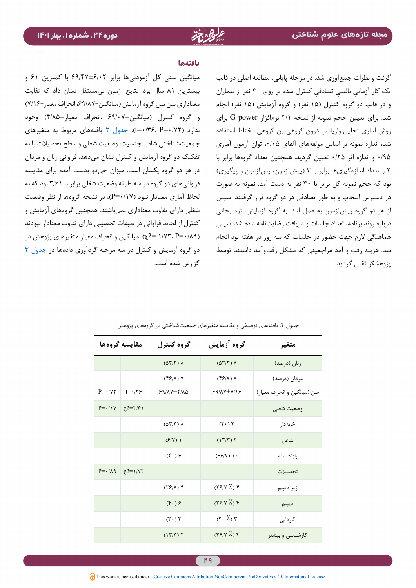### **یافتهها**

میانگین سنی کل آزمودنیها برابر 69/47±6/02 با کمترین 61 و بیشترین 81 سال بود. نتایج آزمون تیمستقل نشان داد که تفاوت معناداری بین سن گروه آزمایش )میانگین=،69/87 انحراف معیار=7/16( و گروه کنترل )میانگین=69/07 ،انحراف معیار=4/85( وجود ندارد )0/72=P 0/36،=t). [جدول 2](#page-8-0) یافتههای مربوط به متغیرهای جمعیتشناختی شامل جنسیت، وضعیت شغلی و سطح تحصیالت را به تفکیک دو گروه آزمایش و کنترل نشان میدهد. فراوانی زنان و مردان در هر دو گروه یکسان است. میزان خیدو بدست آمده برای مقایسه فراوانی های دو گروه در سه طبقه وضعیت شغلی برابر با ۳/۶۱ بود که به لحاظ آماری معنادار نبود )0/17=P)، در نتیجه گروهها از نظر وضعیت شغلی دارای تفاوت معناداری نمیباشند. همچنین گروههای آزمایش و کنترل از لحاظ فراوانی در طبقات تحصیلی دارای تفاوت معنادار نبودند )0/89=P 1/73،= 2χ). میانگین و انحراف معیار متغیرهای پژوهش در دو گروه آزمایش و کنترل در سه مرحله گردآوری دادهها در [جدول 3](#page-9-0) گزارش شده است.

<span id="page-8-0"></span>گرفت و نظرات جمعآوری شد. در مرحله پاياني، مطالعه اصلی در قالب ِ یک کار آزمایی ِ بالینی ِ تصادفی کنترل شده بر روي 30 نفر از بيماران و در قالب دو گروه کنترل (۱۵ نفر) و گروه آزمايش (۱۵ نفر) انجام شد. برای تعیین حجم نمونه از نسخه 3/1 نرمافزار power G برای روش آماری تحلیل واریانس درون گروهیبین گروهی مختلط استفاده شد، اندازه نمونه بر اساس مولفههای آلفای ۰/۰۵ توان آزمون آماری 0/95 و اندازه اثر 0/25 تعیین گردید. همچنین تعداد گروهها برابر با 2 و تعداد اندازهگیریها برابر با 3 )پیشآزمون، پسآزمون و پیگیری( بود که حجم نمونه کل برابر با 30 نفر به دست آمد. نمونه به صورت در دسترس انتخاب و به طور تصادفي در دو گروه قرار گرفتند. سپس از هر دو گروه پيشآزمون به عمل آمد. به گروه آزمايش، توضیحاتی درباره روند برنامه، تعداد جلسات و دریافت رضایتنامه داده شد. سپس هماهنگی الزم جهت حضور در جلسات که سه روز در هفته بود انجام شد. هزینه رفت و آمد مراجعینی که مشکل رفتوآمد داشتند توسط پژوهشگر تقبل گردید.

| مقايسه گروهها            |                                 | گروه کنترل                             | گروه آزمایش                            | متغير                       |
|--------------------------|---------------------------------|----------------------------------------|----------------------------------------|-----------------------------|
|                          |                                 | $(\Delta \Upsilon/\Upsilon)$ $\Lambda$ | $(\Delta \Upsilon/\Upsilon)$ $\Lambda$ | زنان (درصد)                 |
| $\overline{\phantom{m}}$ | $\overline{\phantom{a}}$        | $(FF/Y)$ Y                             | $(Y^{\epsilon}/Y)$ Y                   | مردان (درصد)                |
| $P = \cdot / \sqrt{7}$   | $t = \cdot 75$                  | $59/AY \pm 6/10$                       | $99/AY\pm V/18$                        | سن (میانگین و انحراف معیار) |
| $P = \cdot / \sqrt{V}$   | $\chi$ 2=۳/۶۱                   |                                        |                                        | وضعيت شغلى                  |
|                          |                                 | $(\Delta \Upsilon/\Upsilon)$ $\Lambda$ | $(\mathbf{r} \cdot)$                   | خانەدار                     |
|                          |                                 | (5/N)                                  | (17/T)                                 | شاغل                        |
|                          |                                 | $(f \cdot)$ ۶                          | $(FF/Y)$ ).                            | با; نشسته                   |
| $P = \cdot / \lambda$    | $\chi$ 2= $\gamma$ / $\gamma$ ۳ |                                        |                                        | تحصىلات                     |
|                          |                                 | $(YF/Y)$ $Y$                           | $(YP/Y \n\times Y)$                    | زير ديپلم                   |
|                          |                                 | $(\mathfrak{f} \cdot)$ ۶               | (YY Y); Y                              | ديپلم                       |
|                          |                                 | $(\mathbf{r} \cdot)$                   | $(\tau \cdot \lambda)$                 | كاردانى                     |
|                          |                                 | (17/T)                                 | (YY Y);                                | کارشناسی و بیشتر            |

جدول ۲. یافتههای توصیفی و مقایسه متغیرهای جمعیتشناختی در گروههای پژوهش

This work is licensed under a Creative Commons Attribution-NonCommercial-NoDerivatives 4.0 International License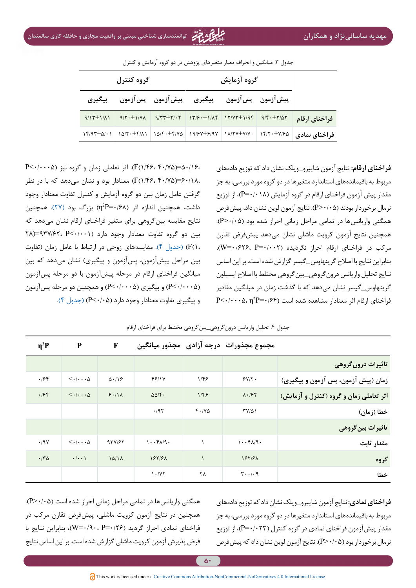<span id="page-9-0"></span>**فراخنای ارقام:** نتایج آزمون شاپیرو\_ویلک نشان داد که توزیع دادههای مربوط به باقیماندههای استاندارد متغیرها در دو گروه مورد بررسی، به جز مقدار پیش آزمون فراخنای ارقام در گروه آزمایش )0/018=P)، از توزیع نرمال برخوردار بودند )0/05>P). نتایج آزمون لوین نشان داد، پیشفرض همگنی واریانسها در تمامی مراحل زمانی احراز شده بود )0/05>P). همچنین نتایج آزمون کرویت ماشلی نشان میدهد پیشفرض تقارن مرکب در فراخنای ارقام احراز نگردیده )0/002=P ۰٫626،=W)، بنابراین نتایج با اصالح گرینهاوس\_گیسر گزارش شده است. بر این اساس نتایج تحلیل واریانس درونگروهی\_بینگروهی مختلط با اصالح اپسیلون گرینهاوس\_گیسر نشان میدهد که با گذشت زمان در میانگین مقادیر

<span id="page-9-1"></span> $\mathbf{P}{<}{\boldsymbol{\cdot}}$ فراخنای ارقام اثر معنادار مشاهده شده است ( $\mathbf{P}{=}{\boldsymbol{\cdot}}$ ۱۶۴  $\cdot$ 

|                                                                                             | گروه آزمایش                                                       | گروه کنترل |                |                    |  |
|---------------------------------------------------------------------------------------------|-------------------------------------------------------------------|------------|----------------|--------------------|--|
|                                                                                             | پيش آزمون پس آزمون پيگيري پيش آزمون پس آزمون                      |            |                | پيگيري             |  |
| فراخناي ارقام                                                                               | $9/77\pm7/57$ $17/6\cdot\pm1/46$ $17/77\pm1/96$ $9/6\cdot\pm7/47$ |            | $9/7. \pm 1/7$ | $9/15\pm1/\lambda$ |  |
| فراخنای نمادی   ۱۴/۲۰±۷/۷۰   ۱۸/۲۷±۷/۷۰   ۱۹/۶۷±۶/۹۷   ۱۵/۴۰±۴/۸۱   ۱۵/۲۰±۴/۸۱   ۱۴/۹۳±۵/۰۱ |                                                                   |            |                |                    |  |

جدول ٣. میانگین و انحراف معیار متغیرهای پژوهش در دو گروه آزمایش و کنترل

50/16،=)40/75 1/46،(F). اثر تعاملی زمان و گروه نیز )0/0005<P 60/18،=)40/75 1/46،(F )معنادار بود و نشان میدهد که با در نظر گرفتن عامل زمان بین دو گروه آزمایش و کنترل تفاوت معنادار وجود داشت، همچنین اندازه اثر (η<sup>2</sup>P=۰/۶۸) بزرگ بود (۲۷). همچنین نتایج مقایسه بینگروهی برای متغیر فراخنای ارقام نشان میدهد که بین دو گروه تفاوت معنادار وجود دارد (۰۰۱۰-)9۳۷/۶۲، P<۰/۰۰ 1،(F( )[جدول 4\(](#page-9-1). مقایسههای زوجی در ارتباط با عامل زمان )تفاوت بین مراحل پیشآزمون، پسآزمون و پیگیری) نشان میدهد که بین میانگین فراخنای ارقام در مرحله پیشآزمون با دو مرحله پسآزمون )0/0005<P )و پیگیری )0/0005<P )و همچنین دو مرحله پسآزمون و پیگیری تفاوت معنادار وجود دارد [\(](#page-9-1)۵/۰۵-) (جدول ۴).

|                                         | مجموع مجذورات درجه آزادي ًمجذور ميانگين              |                      |                                    | $\mathbf F$       | ${\bf P}$                                   | $\eta^2 P$ |
|-----------------------------------------|------------------------------------------------------|----------------------|------------------------------------|-------------------|---------------------------------------------|------------|
| تاثیرات درون گروهی                      |                                                      |                      |                                    |                   |                                             |            |
| زمان (پیش آزمون، پس آزمون و پیگیری)     | $5Y/\tau$ .                                          | $1/\xi$              | 48114                              | $\Delta$ ./18     | $\langle \cdot   \cdots \rangle$            | .198       |
| اثر تعاملی زمان و گروه (کنترل و آزمایش) | $\Lambda \cdot 197$                                  | 1/FF                 | $\Delta\Delta/\mathbf{f}$ .        | 9.11              | $\langle \cdot   \cdot \cdot \cdot \rangle$ | .198       |
| خطا (زمان)                              | $TY/\Delta$                                          | $F \cdot / V \Delta$ | .797                               |                   |                                             |            |
| تاثیرات بین گروهی                       |                                                      |                      |                                    |                   |                                             |            |
| مقدار ثابت                              | $1 \cdot \cdot f \wedge /9 \cdot$                    |                      | $1 \cdot \cdot f \wedge / 9 \cdot$ | 951187            | $\langle \cdot   \cdots \rangle$            | .19V       |
| گروه                                    | 187191                                               |                      | 187181                             | 10/1 <sub>A</sub> | $\cdot$   $\cdot$ \                         | .70        |
| خطا                                     | $\mathbf{r} \cdot \cdot \mathbf{r} \cdot \mathbf{q}$ | ٢٨                   | 1.7Y                               |                   |                                             |            |

جدول ۴. تحلیل واریانس درون گروه<u>ی بین</u> گروهی مختلط برای فراخنای ارقام

**فراخنای نمادی:** نتایج آزمون شاپیرو\_ویلک نشان داد که توزیع دادههای مربوط به باقیماندههای استاندارد متغیرها در دو گروه مورد بررسی، به جز مقدار پیشآزمون فراخنای نمادی در گروه کنترل )0/023=P)، از توزیع نرمال برخوردار بود )0/05>P). نتایج آزمون لوین نشان داد که پیشفرض

همگنی واریانس ها در تمامی مراحل زمانی احراز شده است (P>٠/٠۵). همچنین در نتایج آزمون کرویت ماشلی، پیشفرض تقارن مرکب در فراخنای نمادی احراز گردید (۷۶+=W=۰/۹)، بنابراین نتایج با فرض پذیرش آزمون کرویت ماشلی گزارش شده است. بر این اساس نتایج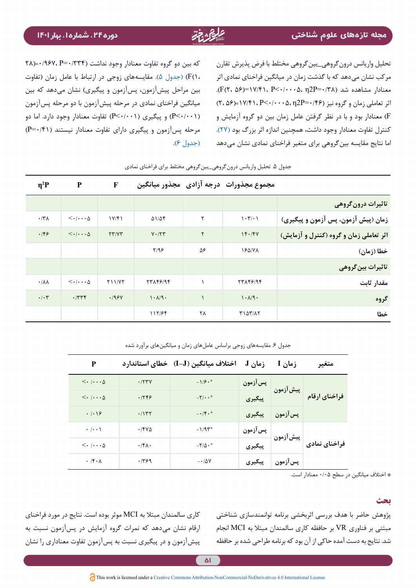<span id="page-10-0"></span>تحلیل واریانس درونگروهی\_بینگروهی مختلط با فرض پذیرش تقارن مرکب نشان میدهد که با گذشت زمان در میانگین فراخنای نمادی اثر معنادار مشاهده شد (۳۸/۶۰=P2P). P<۰/۰۰۰، p2P).  $(7.09)$ اثر تعاملی زمان و گروه نیز (۱۴۶= $\gamma$ ۰۰  $P$ ۰۲۰ $P$ ۰۲ (=۲۰ $\beta$ ) F )معنادار بود و با در نظر گرفتن عامل زمان بین دو گروه آزمایش و کنترل تفاوت معنادار وجود داشت، همچنین اندازه اثر بزرگ بود [\)27](#page-13-12)(. اما نتایج مقایسه بینگروهی برای متغیر فراخنای نمادی نشان میدهد

که بین دو گروه تفاوت معنادار وجود نداشت )0/334=P 0/967،(=28 1،(F( )[جدول 5\(](#page-10-0). مقایسههای زوجی در ارتباط با عامل زمان )تفاوت بین مراحل پیشآزمون، پسآزمون و پیگیری) نشان میدهد که بین میانگین فراخنای نمادی در مرحله پیشآزمون با دو مرحله پسآزمون )0/001<P )و پیگیری )0/001<P )تفاوت معنادار وجود دارد. اما دو مرحله پسآزمون و پیگیری دارای تفاوت معنادار نیستند )0/41=P ) [\)جدول 6](#page-10-1)(.

|                                         | مجموع مجذورات _درجه آزادي _مجذور ميانگين          |              |                             | $\mathbf F$ | ${\bf P}$                        | $\eta^2 P$               |
|-----------------------------------------|---------------------------------------------------|--------------|-----------------------------|-------------|----------------------------------|--------------------------|
| ِ تاثیرات درون گروهی                    |                                                   |              |                             |             |                                  |                          |
| زمان (پیش آزمون، پس آزمون و پیگیری)     | $\mathcal{N} \cdot \mathcal{L}/\cdot \mathcal{N}$ | ٢            | 51/54                       | 1Y/F1       | $\langle \cdot   \cdots \rangle$ | $\cdot$ /۳ $\Lambda$     |
| اثر تعاملی زمان و گروه (کنترل و آزمایش) | 14.14V                                            | $\mathsf{r}$ | $V \cdot / \nabla \Upsilon$ | YY/YY       | $\langle \cdot   \cdots \rangle$ | .159                     |
| خطا (زمان)                              | 1841VA                                            | ۵۶           | Y/99                        |             |                                  |                          |
| تاثیرات بین گروهی                       |                                                   |              |                             |             |                                  |                          |
| مقدار ثابت                              | 77148194                                          |              | 77148194                    | Y11/YY      | $\langle \cdot   \cdots \rangle$ | $\cdot/\lambda\lambda$   |
| گروه                                    | 1.19.                                             |              | 1.19.                       | .195V       | .774                             | $\cdot$ / $\cdot$ $\tau$ |
| خطا                                     | <b>TIATILY</b>                                    | ٢٨           | 117/56                      |             |                                  |                          |

جدول .5 تحلیل واریانس درونگروهی\_بینگروهی مختلط برای فراخنای نمادی

| P                         |                       | زمان J   اختلاف میانگین (I-J)   خطای استاندار د |            | زمان I                                      | متغىر         |
|---------------------------|-----------------------|-------------------------------------------------|------------|---------------------------------------------|---------------|
|                           | .777V                 | $-1/5.$                                         | ۽ پس آزمون |                                             |               |
|                           | .1799                 | $-\nabla/\cdot \cdot$                           |            | پس <sub>آ</sub> زمون<br>پیش آزمون<br>پیگیری | فراخناي ارقام |
| .  .                      | .1157                 | $- \cdot / \mathfrak{F} \cdot$ *                | پیگیری     | پس آزمون                                    |               |
| $\cdot$ / $\cdot$ /       | $\cdot$ /۴۷۵          | $-1/95$                                         |            | پسآزمون<br>پیشآزمون<br>پیگیری               |               |
| $\langle\cdot $ $\Delta$  | $\cdot$ /۴ $\wedge$ . | $-\Gamma/\Delta \cdot$ *                        |            |                                             | فراخنای نمادی |
| $\cdot$ /f $\cdot \wedge$ | .1499                 | $-10V$                                          | پیگیری     | پس آزمون                                    |               |

جدول ۶. مقایسههای زوجی براساس عاملهای زمان و میانگینهای برآورد شده

\* اختالف میانگین در سطح 0/05 معنادار است.

پژوهش حاضر با هدف بررسی اثربخشی برنامه توانمندسازی شناختی مبتنی بر فناوری VR بر حافظه کاری سالمندان مبتال به MCI انجام شد. نتایج به دست آمده حاکی از آن بود که برنامه طراحی شده بر حافظه

<span id="page-10-1"></span>**بحث**

کاری سالمندان مبتال به MCI موثر بوده است. نتایج در مورد فراخنای ارقام نشان میدهد که نمرات گروه آزمایش در پسآزمون نسبت به پیشآزمون و در پیگیری نسبت به پسآزمون تفاوت معناداری را نشان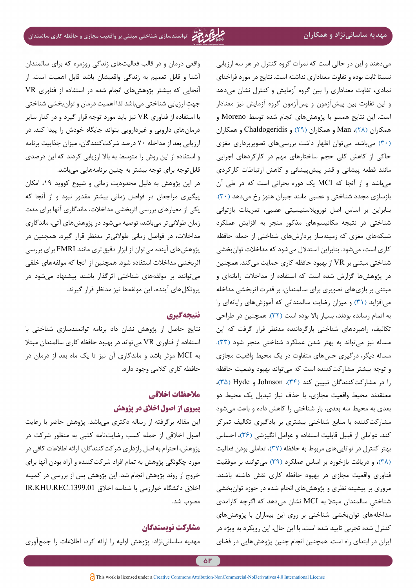میدهند و این در حالی است که نمرات گروه کنترل در هر سه ارزیابی نسبتا ثابت بوده و تفاوت معناداری نداشته است. نتایج در مورد فراخنای نمادی، تفاوت معناداری را بین گروه آزمایش و کنترل نشان میدهد و این تفاوت بین پیشآزمون و پسآزمون گروه آزمایش نیز معنادار است. این نتایج همسو با پژوهشهای انجام شده توسط Moreno و همکاران [\)28\(](#page-13-14)، Man و همکاران [\)29\(](#page-13-13) و Chaldogeridis و همکاران [\)30](#page-13-15)( میباشد. میتوان اظهار داشت بررسیهای تصویربرداری مغزی حاکی از کاهش کلی حجم ساختارهای مهم در کارکردهای اجرایی مانند قطعه پیشانی و قشر پیشپیشانی و کاهش ارتباطات کارکردی میباشد و از آنجا که MCI یک دوره بحرانی است که در طی آن بازسازی مجدد شناختی و عصبی مانند جبران هنوز رخ میدهد (۳۰). بنابراین بر اساس اصل نوروپالستیسیتی عصبی، تمرینات بازتوانی شناختی در نتیجه مکانیسمهای مذکور منجر به افزایش عملکرد شبکههای مغزی که زمینهساز پردازشهای شناختی از جمله حافظه کاری است، میشود. بنابراین استدالل میشود که مداخالت توانبخشی شناختی مبتنی بر VR از بهبود حافظه کاری حمایت میکند. همچنین در پژوهشها گزارش شده است که استفاده از مداخالت رایانهای و مبتنی بر بازیهای تصویری برای سالمندان، بر قدرت اثربخشی مداخله میافزاید (۳۱) و میزان رضایت سالمندانی که آموزشهای رایانهای را به اتمام رسانده بودند، بسیار باال بوده است [\)32\(](#page-13-17). همچنین در طراحی تکالیف، راهبردهای شناختی بازگرداننده مدنظر قرار گرفت که این مساله نیز میتواند به بهتر شدن عملکرد شناختی منجر شود (۳۳). مساله دیگر، درگیری حسهای متفاوت در یک محیط واقعیت مجازی و توجه بیشتر مشارکتکننده است که میتواند بهبود وضعیت حافظه را در مشارکتکنندگان تبیین کند )[34\(](#page-14-1). Johnson و Hyde( [35\)](#page-14-0)، معتقدند محیط واقعیت مجازی، با حذف نیاز تبدیل یک محیط دو بعدی به محیط سه بعدی، بار شناختی را کاهش داده و باعث میشود مشارکتکننده با منابع شناختی بیشتری بر یادگیری تکالیف تمرکز کند. عواملی از قبیل قابلیت استفاده و عوامل انگیزشی )[36\(](#page-14-2)، احساس بهتر کنترل در تواناییهای مربوط به حافظه [\)37](#page-14-3)(، تعاملی بودن فعالیت [\)38](#page-14-5)(، و دریافت بازخورد بر اساس عملکرد [\)39\(](#page-14-4) میتوانند بر موفقیت فناوری واقعیت مجازی در بهبود حافظه کاری نقش داشته باشند. مروری بر پیشینه نظری و پژوهشهای انجام شده در حوزه توانبخشی ِ شناختی سالمندان مبتال به MCI نشان میدهد که اگرچه کارامدی مداخلههای توانبخشی شناختی بر روی این بیماران با پژوهشهای کنترل شده تجربی تایید شده است، با این حال، این رویکرد به ویژه در ایران در ابتدای راه است. همچنین انجام چنین پژوهشهایی در فضای

واقعی درمان و در قالب فعالیتهای زندگی روزمره که برای سالمندان آشنا و قابل تعمیم به زندگی واقعیشان باشد قابل اهمیت است. از آنجایی که بیشتر پژوهشهای انجام شده در استفاده از فناوری VR ِ جهت ارزیابی شناختی میباشد لذا اهمیت درمان و توانبخشی شناختی با استفاده از فناوری VR نیز باید مورد توجه قرار گیرد و در کنار سایر درمانهای دارویی و غیردارویی بتواند جایگاه خودش را پیدا کند. در ارزیابی بعد از مداخله 70 درصد شرکتکنندگان، میزان جذابیت برنامه و استفاده از این روش را متوسط به باال ارزیابی کردند که این درصدي قابلتوجه برای توجه بیشتر به چنین برنامههایی میباشد.

در این پژوهش به دلیل محدودیت زمانی و شیوع کووید ،19 امکان پیگیری مراجعان در فواصل زمانی بیشتر مقدور نبود و از آنجا که یکی از معیارهای بررسی اثربخشی مداخالت، ماندگاری آنها برای مدت زمان طوالنیتر میباشد، توصیه میشود در پژوهشهای آتی، ماندگاری مداخالت، در فواصل زمانی طوالنیتر مدنظر قرار گیرد. همچنین در پژوهشهای آینده میتوان از ابزار دقیقتری مانند FMRI برای بررسی اثربخشی مداخالت استفاده شود. همچنین از آنجا که مولفههای خلقی میتوانند بر مولفههای شناختی اثرگذار باشند پیشنهاد میشود در پروتکلهای آینده، این مولفهها نیز مدنظر قرار گيرند.

## **نتیجهگیری**

نتایج حاصل از پژوهش نشان داد برنامه توانمندسازی شناختی با استفاده از فناوری VR میتواند در بهبود حافظه کاری سالمندان مبتال به MCI موثر باشد و ماندگاری آن نیز تا یک ماه بعد از درمان در حافظه کاری کالمی وجود دارد.

# **مالحظات اخالقی پیروی از اصول اخالق در پژوهش**

این مقاله برگرفته از رساله دکتری میباشد. پژوهش حاضر با رعایت اصول اخالقی از جمله کسب رضایتنامه کتبی به منظور شرکت در پژوهش، احترام به اصل رازداری شرکتکنندگان، ارائه اطالعات کافی در مورد چگونگی پژوهش به تمام افراد شرکتکننده و آزاد بودن آنها برای خروج از روند پژوهش انجام شد. این پژوهش پس از بررسی در کمیته اخلاق دانشگاه خوارزمی با شناسه اخلاق IR.KHU.REC.1399.01 مصوب شد.

## **مشارکت نویسندگان**

مهدیه ساسانینژاد: پژوهش اولیه را ارائه کرد، اطالعات را جمعآوری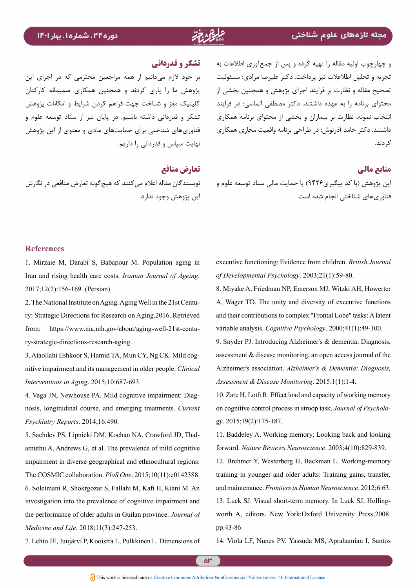و چهارچوب اولیه مقاله را تهیه کرده و پس از جمعآوری اطالعات به تجزیه و تحلیل اطالعالت نیز پرداخت. دکتر علیرضا مرادی: مسئولیت تصحیح مقاله و نظارت بر فرایند اجرای پژوهش و همچنین بخشی از محتوای برنامه را به عهده داشتند. دکتر مصطفی الماسی: در فرایند انتخاب نمونه، نظارت بر بیماران و بخشی از محتوای برنامه همکاری داشتند. دکتر حامد آذرنوش: در طراحی برنامه واقعیت مجازی همکاری کردند.

# **منابع مالی**

ین پژوهش (با کد پیگیری۹۴۲۶) با حمایت مالی ستاد توسعه علوم و نویسندگان مقاله اعلام می کنند که هیچ گونه تعارض منافعی در نگارش فناوریهای شناختی انجام شده است.

# **تشکر و قدردانی**

بر خود الزم میدانیم از همه مراجعین محترمی که در اجرای این پژوهش ما را یاری کردند و همچنین همکاری صمیمانه کارکنان کلینیک مغز و شناخت جهت فراهم کردن شرایط و امکانات پژوهش تشکر و قدردانی داشته باشیم. در پایان نیز از ستاد توسعه علوم و فناوریهای شناختی برای حمایتهای مادی و معنوی از این پژوهش نهایت سپاس و قدردانی را داریم.

# **تعارض منافع**

این پژوهش وجود ندارد.

### **References**

<span id="page-12-0"></span>1. Mirzaie M, Darabi S, Babapour M. Population aging in Iran and rising health care costs. *Iranian Journal of Ageing*. 2017;12(2):156-169. (Persian)

<span id="page-12-1"></span>ry: Strategic Directions for Research on Aging 2016. Retrieved 2. The National Institute on Aging. Aging Well in the 21st Centufrom: https://www.nia.nih.gov/about/aging-well-21st-centu-<br>ry-strategic-directions-research-aging.

<span id="page-12-2"></span>*nitive impairment and its management in older people. Clinical* 3. Ataollahi Eshkoor S, Hamid TA, Mun CY, Ng CK. Mild cog-Interventions in Aging. 2015;10:687-693.

<span id="page-12-3"></span>nosis, longitudinal course, and emerging treatments. Current 4. Vega JN, Newhouse PA. Mild cognitive impairment: Diag-Psychiatry Reports. 2014;16:490.

<span id="page-12-5"></span><span id="page-12-4"></span>amuthu A, Andrews G, et al. The prevalence of mild cognitive 5. Sachdev PS, Lipnicki DM, Kochan NA, Crawford JD, Thalimpairment in diverse geographical and ethnocultural regions: The COSMIC collaboration. *PloS One*. 2015;10(11):e0142388. 6. Soleimani R, Shokrgozar S, Fallahi M, Kafi H, Kiani M. An investigation into the prevalence of cognitive impairment and the performance of older adults in Guilan province. Journal of Medicine and Life. 2018;11(3):247-253.

<span id="page-12-7"></span>7. Lehto JE, Juujärvi P, Kooistra L, Pulkkinen L. Dimensions of

executive functioning: Evidence from children. *British Journal* of Developmental Psychology. 2003;21(1):59-80.

<span id="page-12-6"></span>8. Miyake A, Friedman NP, Emerson MJ, Witzki AH, Howerter A, Wager TD. The unity and diversity of executive functions and their contributions to complex "Frontal Lobe" tasks: A latent variable analysis. Cognitive Psychology. 2000;41(1):49-100.

<span id="page-12-8"></span>9. Snyder PJ. Introducing Alzheimer's & dementia: Diagnosis, assessment  $&$  disease monitoring, an open access journal of the *Alzheimer's association. Alzheimer's & Dementia: Diagnosis,* Assessment & Disease Monitoring. 2015;1(1):1-4.

<span id="page-12-9"></span>10. Zare H, Lotfi R. Effect load and capacity of working memory on cognitive control process in stroop task. *Journal of Psychology*. 2015;19(2):175-187.

<span id="page-12-10"></span>11. Baddeley A. Working memory: Looking back and looking forward. Nature Reviews Neuroscience. 2003;4(10):829-839.

<span id="page-12-11"></span>12. Brehmer Y, Westerberg H, Backman L. Working-memory training in younger and older adults: Training gains, transfer, and maintenance. Frontiers in Human Neuroscience. 2012;6:63. worth A, editors. New York:Oxford University Press;2008. 13. Luck SJ. Visual short-term memory. In Luck SJ, Hollingpp.43-86.

<span id="page-12-12"></span>14. Viola LF, Nunes PV, Yassuda MS, Aprahamian I, Santos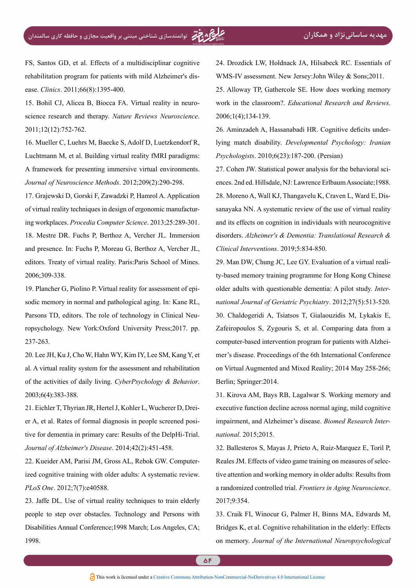FS, Santos GD, et al. Effects of a multidisciplinar cognitive rehabilitation program for patients with mild Alzheimer's dis-<br>ease. *Clinics*. 2011;66(8):1395-400.

<span id="page-13-0"></span>science research and therapy. Nature Reviews Neuroscience. 15. Bohil CJ, Alicea B, Biocca FA. Virtual reality in neuro-2011;12(12):752-762.

<span id="page-13-1"></span>16. Mueller C, Luehrs M, Baecke S, Adolf D, Luetzkendorf R, Luchtmann M, et al. Building virtual reality fMRI paradigms: A framework for presenting immersive virtual environments. :290-298.(2)209;2012 .*Methods Neuroscience of Journal*

<span id="page-13-3"></span><span id="page-13-2"></span>17. Grajewski D. Gorski F. Zawadzki P. Hamrol A. Application ing workplaces. Procedia Computer Science. 2013;25:289-301. of virtual reality techniques in design of ergonomic manufactur-18. Mestre DR. Fuchs P. Berthoz A. Vercher JL. Immersion and presence. In: Fuchs P, Moreau G, Berthoz A, Vercher JL, editors. Treaty of virtual reality. Paris:Paris School of Mines. 2006:309-338.

<span id="page-13-4"></span>sodic memory in normal and pathological aging. In: Kane RL, 19. Plancher G, Piolino P. Virtual reality for assessment of epiropsychology. New York:Oxford University Press;2017. pp. Parsons TD, editors. The role of technology in Clinical Neu-237-263.

<span id="page-13-5"></span>20. Lee JH, Ku J, Cho W, Hahn WY, Kim IY, Lee SM, Kang Y, et al. A virtual reality system for the assessment and rehabilitation of the activities of daily living. CyberPsychology & Behavior. 2003;6(4):383-388.

<span id="page-13-6"></span>tive for dementia in primary care: Results of the DelpHi-Trial. er A, et al. Rates of formal diagnosis in people screened posi-21. Eichler T, Thyrian JR, Hertel J, Kohler L, Wucherer D, Drei-Journal of Alzheimer's Disease. 2014;42(2):451-458.

<span id="page-13-7"></span>ized cognitive training with older adults: A systematic review. 22. Kueider AM, Parisi JM, Gross AL, Rebok GW. Computer-PLoS One. 2012;7(7):e40588.

<span id="page-13-8"></span>23. Jaffe DL. Use of virtual reality techniques to train elderly people to step over obstacles. Technology and Persons with Disabilities Annual Conference; 1998 March; Los Angeles, CA; 1998.

<span id="page-13-10"></span><span id="page-13-9"></span>24. Drozdick LW, Holdnack JA, Hilsabeck RC. Essentials of WMS-IV assessment. New Jersey: John Wiley  $&$  Sons: 2011. 25. Alloway TP, Gathercole SE. How does working memory work in the classroom?. *Educational Research and Reviews*.

<span id="page-13-11"></span>*lying match disability. Developmental Psychology: Iranian* 26. Aminzadeh A, Hassanabadi HR. Cognitive deficits under-*Psychologists.* 2010;6(23):187-200. (Persian)

2006;1(4);134-139.

<span id="page-13-14"></span><span id="page-13-12"></span>ences. 2nd ed. Hillsdale, NJ: Lawrence Erlbaum Associate: 1988. 27. Cohen JW. Statistical power analysis for the behavioral scisanayaka NN. A systematic review of the use of virtual reality 28. Moreno A, Wall KJ, Thangavelu K, Craven L, Ward E, Disand its effects on cognition in individuals with neurocognitive disorders. Alzheimer's & Dementia: Translational Research & Clinical Interventions. 2019;5:834-850.

<span id="page-13-15"></span><span id="page-13-13"></span>ty-based memory training programme for Hong Kong Chinese 29. Man DW, Chung JC, Lee GY. Evaluation of a virtual realinational Journal of Geriatric Psychiatry. 2012;27(5):513-520. older adults with questionable dementia: A pilot study. *Inter-*30. Chaldogeridi A, Tsiatsos T, Gialaouzidis M, Lykakis E, Zafeiropoulos S, Zygouris S, et al. Comparing data from a mer's disease. Proceedings of the 6th International Conference computer-based intervention program for patients with Alzheion Virtual Augmented and Mixed Reality; 2014 May 258-266; Berlin; Springer: 2014.

<span id="page-13-16"></span>31. Kirova AM, Bays RB, Lagalwar S. Working memory and executive function decline across normal aging, mild cognitive impairment, and Alzheimer's disease. *Biomed Research International*. 2015;2015.

<span id="page-13-17"></span>32. Ballesteros S, Mayas J, Prieto A, Ruiz-Marquez E, Toril P, tive attention and working memory in older adults: Results from Reales JM. Effects of video game training on measures of seleca randomized controlled trial. Frontiers in Aging Neuroscience. 2017:9:354.

<span id="page-13-18"></span>33. Craik FI, Winocur G, Palmer H, Binns MA, Edwards M, Bridges K, et al. Cognitive rehabilitation in the elderly: Effects on memory. *Journal of the International Neuropsychological*